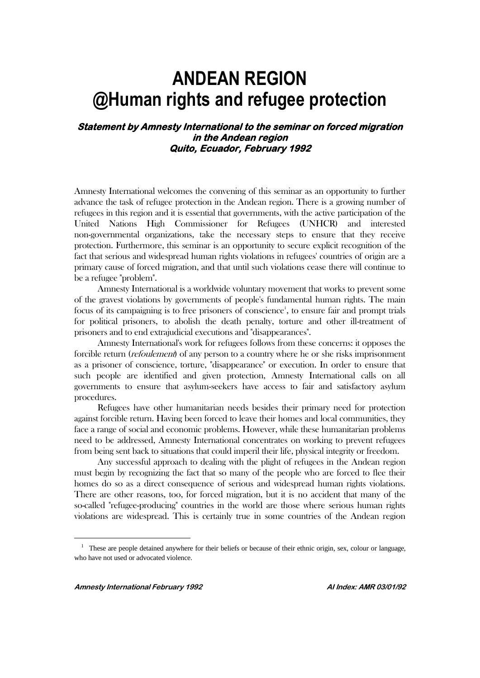## **ANDEAN REGION @Human rights and refugee protection**

## **Statement by Amnesty International to the seminar on forced migration in the Andean region Quito, Ecuador, February 1992**

Amnesty International welcomes the convening of this seminar as an opportunity to further advance the task of refugee protection in the Andean region. There is a growing number of refugees in this region and it is essential that governments, with the active participation of the United Nations High Commissioner for Refugees (UNHCR) and interested non-governmental organizations, take the necessary steps to ensure that they receive protection. Furthermore, this seminar is an opportunity to secure explicit recognition of the fact that serious and widespread human rights violations in refugees' countries of origin are a primary cause of forced migration, and that until such violations cease there will continue to be a refugee "problem".

Amnesty International is a worldwide voluntary movement that works to prevent some of the gravest violations by governments of people's fundamental human rights. The main focus of its campaigning is to free prisoners of conscience<sup>1</sup>, to ensure fair and prompt trials for political prisoners, to abolish the death penalty, torture and other ill-treatment of prisoners and to end extrajudicial executions and "disappearances".

Amnesty International's work for refugees follows from these concerns: it opposes the forcible return (refoulement) of any person to a country where he or she risks imprisonment as a prisoner of conscience, torture, "disappearance" or execution. In order to ensure that such people are identified and given protection, Amnesty International calls on all governments to ensure that asylum-seekers have access to fair and satisfactory asylum procedures.

Refugees have other humanitarian needs besides their primary need for protection against forcible return. Having been forced to leave their homes and local communities, they face a range of social and economic problems. However, while these humanitarian problems need to be addressed, Amnesty International concentrates on working to prevent refugees from being sent back to situations that could imperil their life, physical integrity or freedom.

Any successful approach to dealing with the plight of refugees in the Andean region must begin by recognizing the fact that so many of the people who are forced to flee their homes do so as a direct consequence of serious and widespread human rights violations. There are other reasons, too, for forced migration, but it is no accident that many of the so-called "refugee-producing" countries in the world are those where serious human rights violations are widespread. This is certainly true in some countries of the Andean region

 $\overline{a}$ 

<sup>&</sup>lt;sup>1</sup> These are people detained anywhere for their beliefs or because of their ethnic origin, sex, colour or language, who have not used or advocated violence.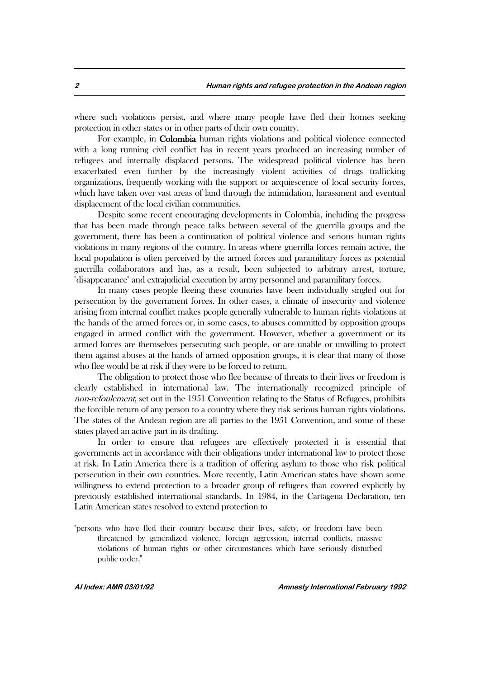where such violations persist, and where many people have fled their homes seeking protection in other states or in other parts of their own country.

For example, in Colombia human rights violations and political violence connected with a long running civil conflict has in recent years produced an increasing number of refugees and internally displaced persons. The widespread political violence has been exacerbated even further by the increasingly violent activities of drugs trafficking organizations, frequently working with the support or acquiescence of local security forces, which have taken over vast areas of land through the intimidation, harassment and eventual displacement of the local civilian communities.

Despite some recent encouraging developments in Colombia, including the progress that has been made through peace talks between several of the guerrilla groups and the government, there has been a continuation of political violence and serious human rights violations in many regions of the country. In areas where guerrilla forces remain active, the local population is often perceived by the armed forces and paramilitary forces as potential guerrilla collaborators and has, as a result, been subjected to arbitrary arrest, torture, "disappearance" and extrajudicial execution by army personnel and paramilitary forces.

In many cases people fleeing these countries have been individually singled out for persecution by the government forces. In other cases, a climate of insecurity and violence arising from internal conflict makes people generally vulnerable to human rights violations at the hands of the armed forces or, in some cases, to abuses committed by opposition groups engaged in armed conflict with the government. However, whether a government or its armed forces are themselves persecuting such people, or are unable or unwilling to protect them against abuses at the hands of armed opposition groups, it is clear that many of those who flee would be at risk if they were to be forced to return.

The obligation to protect those who flee because of threats to their lives or freedom is clearly established in international law. The internationally recognized principle of non-refoulement, set out in the 1951 Convention relating to the Status of Refugees, prohibits the forcible return of any person to a country where they risk serious human rights violations. The states of the Andean region are all parties to the 1951 Convention, and some of these states played an active part in its drafting.

In order to ensure that refugees are effectively protected it is essential that governments act in accordance with their obligations under international law to protect those at risk. In Latin America there is a tradition of offering asylum to those who risk political persecution in their own countries. More recently, Latin American states have shown some willingness to extend protection to a broader group of refugees than covered explicitly by previously established international standards. In 1984, in the Cartagena Declaration, ten Latin American states resolved to extend protection to

"persons who have fled their country because their lives, safety, or freedom have been threatened by generalized violence, foreign aggression, internal conflicts, massive violations of human rights or other circumstances which have seriously disturbed public order."

**AI Index: AMR 03/01/92 Amnesty International February 1992**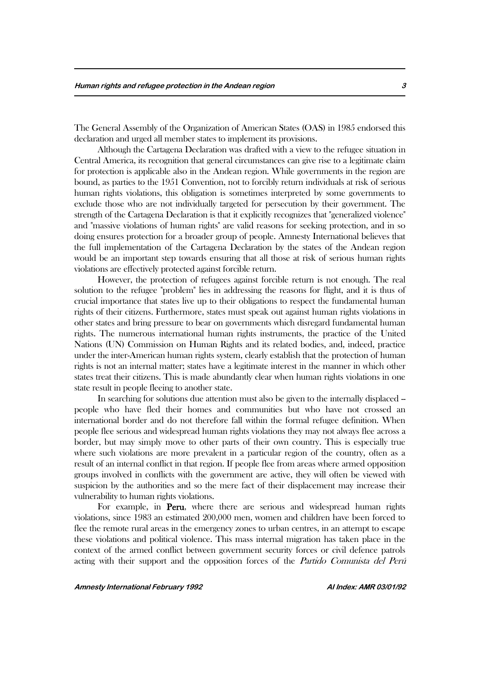The General Assembly of the Organization of American States (OAS) in 1985 endorsed this declaration and urged all member states to implement its provisions.

Although the Cartagena Declaration was drafted with a view to the refugee situation in Central America, its recognition that general circumstances can give rise to a legitimate claim for protection is applicable also in the Andean region. While governments in the region are bound, as parties to the 1951 Convention, not to forcibly return individuals at risk of serious human rights violations, this obligation is sometimes interpreted by some governments to exclude those who are not individually targeted for persecution by their government. The strength of the Cartagena Declaration is that it explicitly recognizes that "generalized violence" and "massive violations of human rights" are valid reasons for seeking protection, and in so doing ensures protection for a broader group of people. Amnesty International believes that the full implementation of the Cartagena Declaration by the states of the Andean region would be an important step towards ensuring that all those at risk of serious human rights violations are effectively protected against forcible return.

However, the protection of refugees against forcible return is not enough. The real solution to the refugee "problem" lies in addressing the reasons for flight, and it is thus of crucial importance that states live up to their obligations to respect the fundamental human rights of their citizens. Furthermore, states must speak out against human rights violations in other states and bring pressure to bear on governments which disregard fundamental human rights. The numerous international human rights instruments, the practice of the United Nations (UN) Commission on Human Rights and its related bodies, and, indeed, practice under the inter-American human rights system, clearly establish that the protection of human rights is not an internal matter; states have a legitimate interest in the manner in which other states treat their citizens. This is made abundantly clear when human rights violations in one state result in people fleeing to another state.

In searching for solutions due attention must also be given to the internally displaced – people who have fled their homes and communities but who have not crossed an international border and do not therefore fall within the formal refugee definition. When people flee serious and widespread human rights violations they may not always flee across a border, but may simply move to other parts of their own country. This is especially true where such violations are more prevalent in a particular region of the country, often as a result of an internal conflict in that region. If people flee from areas where armed opposition groups involved in conflicts with the government are active, they will often be viewed with suspicion by the authorities and so the mere fact of their displacement may increase their vulnerability to human rights violations.

For example, in Peru, where there are serious and widespread human rights violations, since 1983 an estimated 200,000 men, women and children have been forced to flee the remote rural areas in the emergency zones to urban centres, in an attempt to escape these violations and political violence. This mass internal migration has taken place in the context of the armed conflict between government security forces or civil defence patrols acting with their support and the opposition forces of the Partido Comunista del Perú